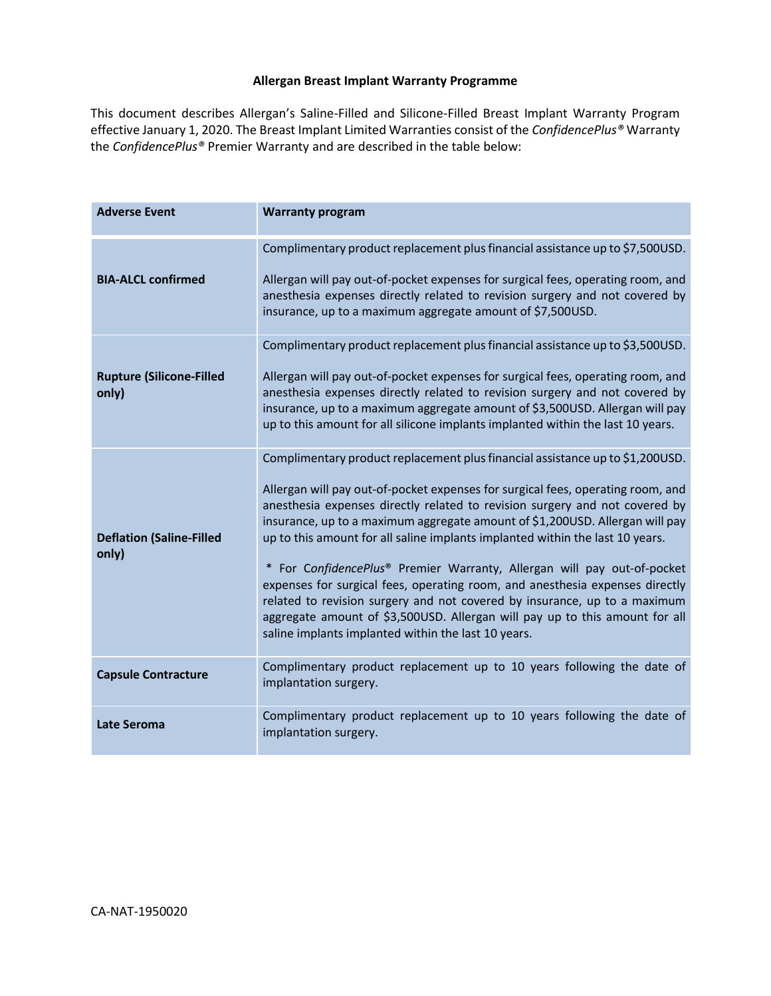### **Allergan Breast Implant Warranty Programme**

This document describes Allergan's Saline-Filled and Silicone-Filled Breast Implant Warranty Program effective January 1, 2020. The Breast Implant Limited Warranties consist of the *ConfidencePlus®* Warranty the *ConfidencePlus®* Premier Warranty and are described in the table below:

| <b>Adverse Event</b>                     | <b>Warranty program</b>                                                                                                                                                                                                                                                                                                                                                                                                                                                                                                                                                                                                                                                                                                                                                                        |
|------------------------------------------|------------------------------------------------------------------------------------------------------------------------------------------------------------------------------------------------------------------------------------------------------------------------------------------------------------------------------------------------------------------------------------------------------------------------------------------------------------------------------------------------------------------------------------------------------------------------------------------------------------------------------------------------------------------------------------------------------------------------------------------------------------------------------------------------|
| <b>BIA-ALCL confirmed</b>                | Complimentary product replacement plus financial assistance up to \$7,500USD.<br>Allergan will pay out-of-pocket expenses for surgical fees, operating room, and<br>anesthesia expenses directly related to revision surgery and not covered by<br>insurance, up to a maximum aggregate amount of \$7,500USD.                                                                                                                                                                                                                                                                                                                                                                                                                                                                                  |
| <b>Rupture (Silicone-Filled</b><br>only) | Complimentary product replacement plus financial assistance up to \$3,500USD.<br>Allergan will pay out-of-pocket expenses for surgical fees, operating room, and<br>anesthesia expenses directly related to revision surgery and not covered by<br>insurance, up to a maximum aggregate amount of \$3,500USD. Allergan will pay<br>up to this amount for all silicone implants implanted within the last 10 years.                                                                                                                                                                                                                                                                                                                                                                             |
| <b>Deflation (Saline-Filled</b><br>only) | Complimentary product replacement plus financial assistance up to \$1,200USD.<br>Allergan will pay out-of-pocket expenses for surgical fees, operating room, and<br>anesthesia expenses directly related to revision surgery and not covered by<br>insurance, up to a maximum aggregate amount of \$1,200USD. Allergan will pay<br>up to this amount for all saline implants implanted within the last 10 years.<br>* For ConfidencePlus® Premier Warranty, Allergan will pay out-of-pocket<br>expenses for surgical fees, operating room, and anesthesia expenses directly<br>related to revision surgery and not covered by insurance, up to a maximum<br>aggregate amount of \$3,500USD. Allergan will pay up to this amount for all<br>saline implants implanted within the last 10 years. |
| <b>Capsule Contracture</b>               | Complimentary product replacement up to 10 years following the date of<br>implantation surgery.                                                                                                                                                                                                                                                                                                                                                                                                                                                                                                                                                                                                                                                                                                |
| <b>Late Seroma</b>                       | Complimentary product replacement up to 10 years following the date of<br>implantation surgery.                                                                                                                                                                                                                                                                                                                                                                                                                                                                                                                                                                                                                                                                                                |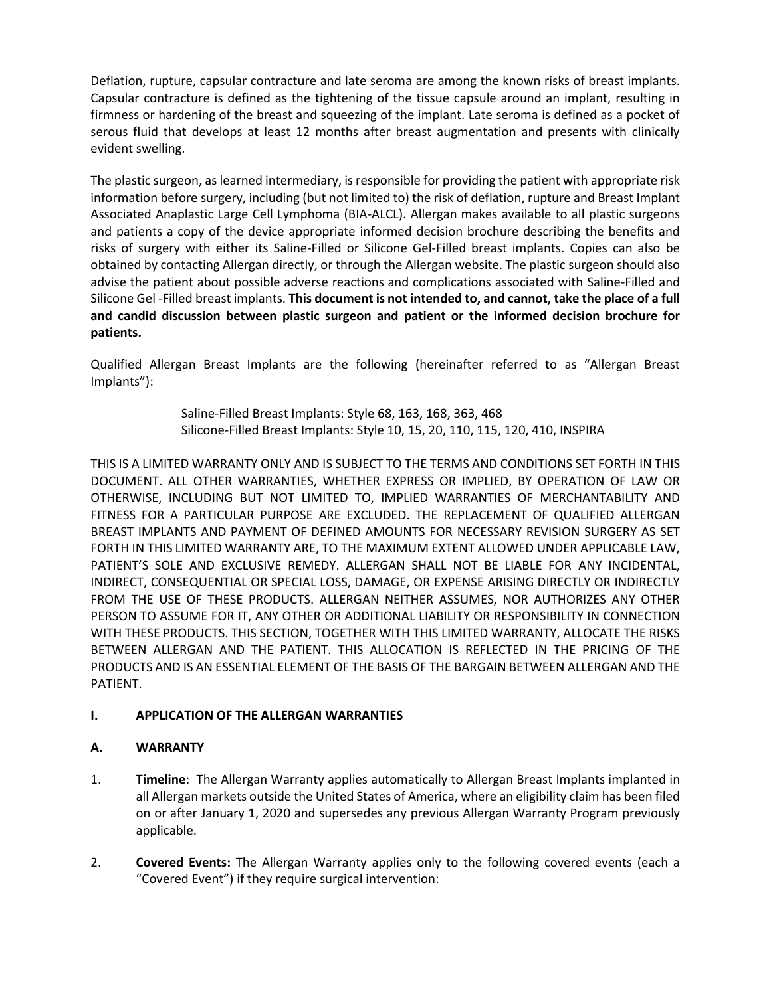Deflation, rupture, capsular contracture and late seroma are among the known risks of breast implants. Capsular contracture is defined as the tightening of the tissue capsule around an implant, resulting in firmness or hardening of the breast and squeezing of the implant. Late seroma is defined as a pocket of serous fluid that develops at least 12 months after breast augmentation and presents with clinically evident swelling.

The plastic surgeon, aslearned intermediary, is responsible for providing the patient with appropriate risk information before surgery, including (but not limited to) the risk of deflation, rupture and Breast Implant Associated Anaplastic Large Cell Lymphoma (BIA-ALCL). Allergan makes available to all plastic surgeons and patients a copy of the device appropriate informed decision brochure describing the benefits and risks of surgery with either its Saline-Filled or Silicone Gel-Filled breast implants. Copies can also be obtained by contacting Allergan directly, or through the Allergan website. The plastic surgeon should also advise the patient about possible adverse reactions and complications associated with Saline-Filled and Silicone Gel -Filled breast implants. **This document is not intended to, and cannot, take the place of a full and candid discussion between plastic surgeon and patient or the informed decision brochure for patients.** 

Qualified Allergan Breast Implants are the following (hereinafter referred to as "Allergan Breast Implants"):

> Saline-Filled Breast Implants: Style 68, 163, 168, 363, 468 Silicone-Filled Breast Implants: Style 10, 15, 20, 110, 115, 120, 410, INSPIRA

THIS IS A LIMITED WARRANTY ONLY AND IS SUBJECT TO THE TERMS AND CONDITIONS SET FORTH IN THIS DOCUMENT. ALL OTHER WARRANTIES, WHETHER EXPRESS OR IMPLIED, BY OPERATION OF LAW OR OTHERWISE, INCLUDING BUT NOT LIMITED TO, IMPLIED WARRANTIES OF MERCHANTABILITY AND FITNESS FOR A PARTICULAR PURPOSE ARE EXCLUDED. THE REPLACEMENT OF QUALIFIED ALLERGAN BREAST IMPLANTS AND PAYMENT OF DEFINED AMOUNTS FOR NECESSARY REVISION SURGERY AS SET FORTH IN THIS LIMITED WARRANTY ARE, TO THE MAXIMUM EXTENT ALLOWED UNDER APPLICABLE LAW, PATIENT'S SOLE AND EXCLUSIVE REMEDY. ALLERGAN SHALL NOT BE LIABLE FOR ANY INCIDENTAL, INDIRECT, CONSEQUENTIAL OR SPECIAL LOSS, DAMAGE, OR EXPENSE ARISING DIRECTLY OR INDIRECTLY FROM THE USE OF THESE PRODUCTS. ALLERGAN NEITHER ASSUMES, NOR AUTHORIZES ANY OTHER PERSON TO ASSUME FOR IT, ANY OTHER OR ADDITIONAL LIABILITY OR RESPONSIBILITY IN CONNECTION WITH THESE PRODUCTS. THIS SECTION, TOGETHER WITH THIS LIMITED WARRANTY, ALLOCATE THE RISKS BETWEEN ALLERGAN AND THE PATIENT. THIS ALLOCATION IS REFLECTED IN THE PRICING OF THE PRODUCTS AND IS AN ESSENTIAL ELEMENT OF THE BASIS OF THE BARGAIN BETWEEN ALLERGAN AND THE PATIENT.

## **I. APPLICATION OF THE ALLERGAN WARRANTIES**

## **A. WARRANTY**

- 1. **Timeline**: The Allergan Warranty applies automatically to Allergan Breast Implants implanted in all Allergan markets outside the United States of America, where an eligibility claim has been filed on or after January 1, 2020 and supersedes any previous Allergan Warranty Program previously applicable.
- 2. **Covered Events:** The Allergan Warranty applies only to the following covered events (each a "Covered Event") if they require surgical intervention: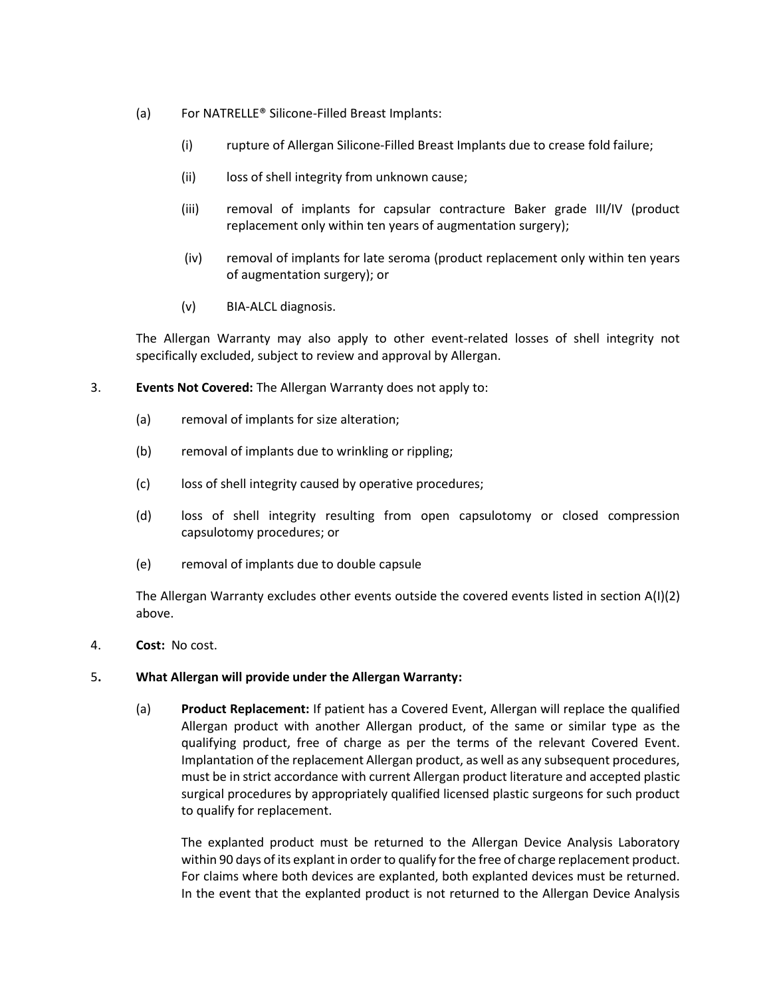- (a) For NATRELLE® Silicone-Filled Breast Implants:
	- (i) rupture of Allergan Silicone-Filled Breast Implants due to crease fold failure;
	- (ii) loss of shell integrity from unknown cause;
	- (iii) removal of implants for capsular contracture Baker grade III/IV (product replacement only within ten years of augmentation surgery);
	- (iv) removal of implants for late seroma (product replacement only within ten years of augmentation surgery); or
	- (v) BIA-ALCL diagnosis.

The Allergan Warranty may also apply to other event-related losses of shell integrity not specifically excluded, subject to review and approval by Allergan.

- 3. **Events Not Covered:** The Allergan Warranty does not apply to:
	- (a) removal of implants for size alteration;
	- (b) removal of implants due to wrinkling or rippling;
	- (c) loss of shell integrity caused by operative procedures;
	- (d) loss of shell integrity resulting from open capsulotomy or closed compression capsulotomy procedures; or
	- (e) removal of implants due to double capsule

The Allergan Warranty excludes other events outside the covered events listed in section A(I)(2) above.

4. **Cost:** No cost.

### 5**. What Allergan will provide under the Allergan Warranty:**

(a) **Product Replacement:** If patient has a Covered Event, Allergan will replace the qualified Allergan product with another Allergan product, of the same or similar type as the qualifying product, free of charge as per the terms of the relevant Covered Event. Implantation of the replacement Allergan product, as well as any subsequent procedures, must be in strict accordance with current Allergan product literature and accepted plastic surgical procedures by appropriately qualified licensed plastic surgeons for such product to qualify for replacement.

The explanted product must be returned to the Allergan Device Analysis Laboratory within 90 days of its explant in order to qualify for the free of charge replacement product. For claims where both devices are explanted, both explanted devices must be returned. In the event that the explanted product is not returned to the Allergan Device Analysis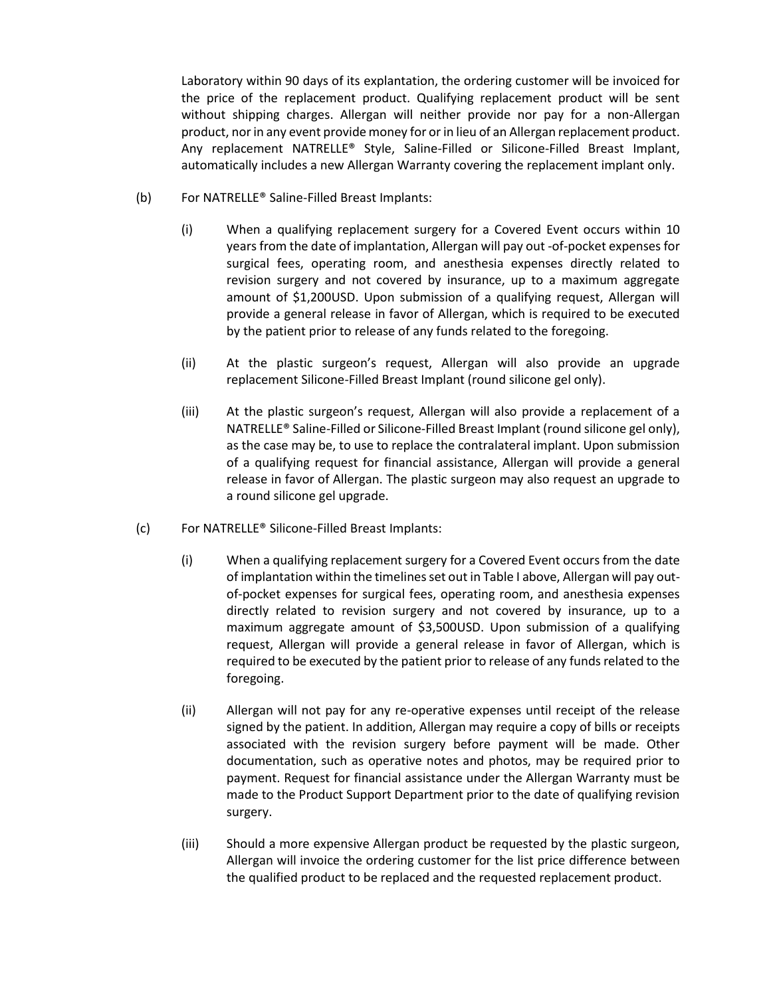Laboratory within 90 days of its explantation, the ordering customer will be invoiced for the price of the replacement product. Qualifying replacement product will be sent without shipping charges. Allergan will neither provide nor pay for a non-Allergan product, nor in any event provide money for or in lieu of an Allergan replacement product. Any replacement NATRELLE® Style, Saline-Filled or Silicone-Filled Breast Implant, automatically includes a new Allergan Warranty covering the replacement implant only.

- (b) For NATRELLE® Saline-Filled Breast Implants:
	- (i) When a qualifying replacement surgery for a Covered Event occurs within 10 years from the date of implantation, Allergan will pay out -of-pocket expenses for surgical fees, operating room, and anesthesia expenses directly related to revision surgery and not covered by insurance, up to a maximum aggregate amount of \$1,200USD. Upon submission of a qualifying request, Allergan will provide a general release in favor of Allergan, which is required to be executed by the patient prior to release of any funds related to the foregoing.
	- (ii) At the plastic surgeon's request, Allergan will also provide an upgrade replacement Silicone-Filled Breast Implant (round silicone gel only).
	- (iii) At the plastic surgeon's request, Allergan will also provide a replacement of a NATRELLE® Saline-Filled or Silicone-Filled Breast Implant (round silicone gel only), as the case may be, to use to replace the contralateral implant. Upon submission of a qualifying request for financial assistance, Allergan will provide a general release in favor of Allergan. The plastic surgeon may also request an upgrade to a round silicone gel upgrade.
- (c) For NATRELLE® Silicone-Filled Breast Implants:
	- (i) When a qualifying replacement surgery for a Covered Event occurs from the date of implantation within the timelines set out in Table I above, Allergan will pay outof-pocket expenses for surgical fees, operating room, and anesthesia expenses directly related to revision surgery and not covered by insurance, up to a maximum aggregate amount of \$3,500USD. Upon submission of a qualifying request, Allergan will provide a general release in favor of Allergan, which is required to be executed by the patient prior to release of any funds related to the foregoing.
	- (ii) Allergan will not pay for any re-operative expenses until receipt of the release signed by the patient. In addition, Allergan may require a copy of bills or receipts associated with the revision surgery before payment will be made. Other documentation, such as operative notes and photos, may be required prior to payment. Request for financial assistance under the Allergan Warranty must be made to the Product Support Department prior to the date of qualifying revision surgery.
	- (iii) Should a more expensive Allergan product be requested by the plastic surgeon, Allergan will invoice the ordering customer for the list price difference between the qualified product to be replaced and the requested replacement product.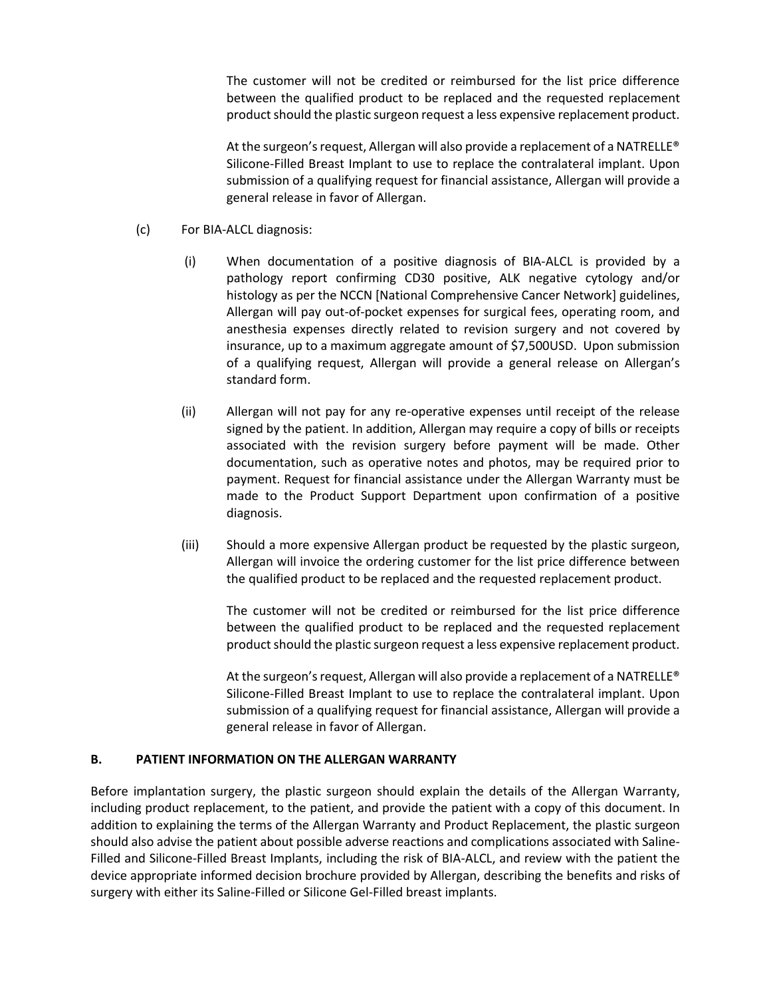The customer will not be credited or reimbursed for the list price difference between the qualified product to be replaced and the requested replacement product should the plastic surgeon request a less expensive replacement product.

At the surgeon's request, Allergan will also provide a replacement of a NATRELLE® Silicone-Filled Breast Implant to use to replace the contralateral implant. Upon submission of a qualifying request for financial assistance, Allergan will provide a general release in favor of Allergan.

- (c) For BIA-ALCL diagnosis:
	- (i) When documentation of a positive diagnosis of BIA-ALCL is provided by a pathology report confirming CD30 positive, ALK negative cytology and/or histology as per the NCCN [National Comprehensive Cancer Network] guidelines, Allergan will pay out-of-pocket expenses for surgical fees, operating room, and anesthesia expenses directly related to revision surgery and not covered by insurance, up to a maximum aggregate amount of \$7,500USD. Upon submission of a qualifying request, Allergan will provide a general release on Allergan's standard form.
	- (ii) Allergan will not pay for any re-operative expenses until receipt of the release signed by the patient. In addition, Allergan may require a copy of bills or receipts associated with the revision surgery before payment will be made. Other documentation, such as operative notes and photos, may be required prior to payment. Request for financial assistance under the Allergan Warranty must be made to the Product Support Department upon confirmation of a positive diagnosis.
	- (iii) Should a more expensive Allergan product be requested by the plastic surgeon, Allergan will invoice the ordering customer for the list price difference between the qualified product to be replaced and the requested replacement product.

The customer will not be credited or reimbursed for the list price difference between the qualified product to be replaced and the requested replacement product should the plastic surgeon request a less expensive replacement product.

At the surgeon's request, Allergan will also provide a replacement of a NATRELLE® Silicone-Filled Breast Implant to use to replace the contralateral implant. Upon submission of a qualifying request for financial assistance, Allergan will provide a general release in favor of Allergan.

#### **B. PATIENT INFORMATION ON THE ALLERGAN WARRANTY**

Before implantation surgery, the plastic surgeon should explain the details of the Allergan Warranty, including product replacement, to the patient, and provide the patient with a copy of this document. In addition to explaining the terms of the Allergan Warranty and Product Replacement, the plastic surgeon should also advise the patient about possible adverse reactions and complications associated with Saline-Filled and Silicone-Filled Breast Implants, including the risk of BIA-ALCL, and review with the patient the device appropriate informed decision brochure provided by Allergan, describing the benefits and risks of surgery with either its Saline-Filled or Silicone Gel-Filled breast implants.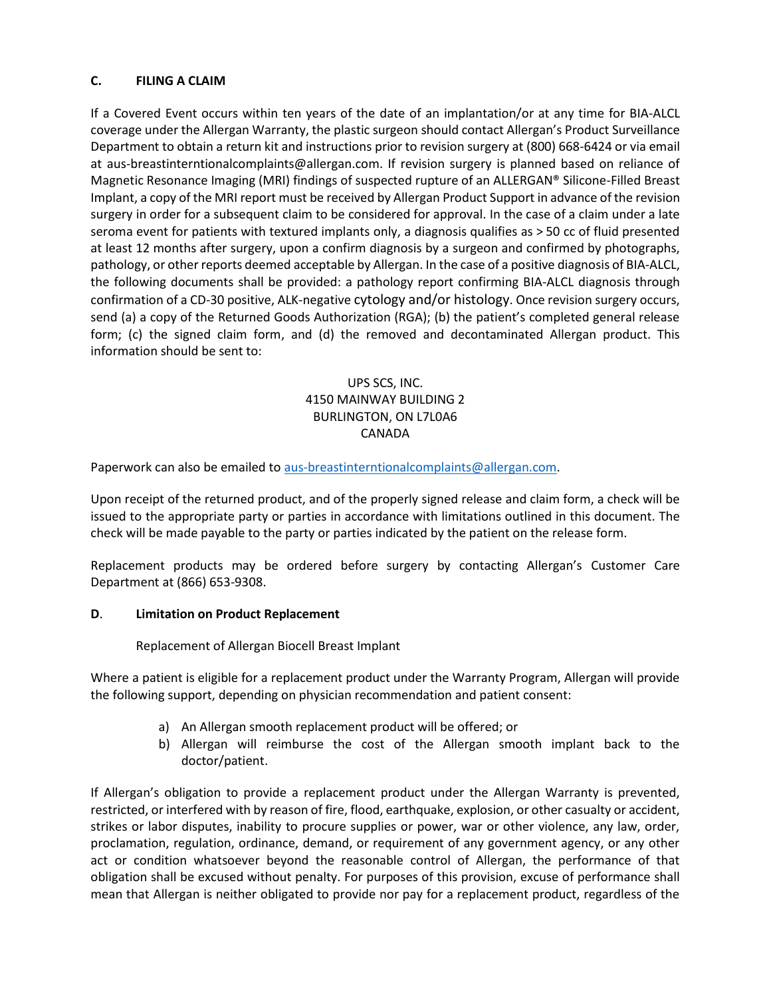### **C. FILING A CLAIM**

If a Covered Event occurs within ten years of the date of an implantation/or at any time for BIA-ALCL coverage under the Allergan Warranty, the plastic surgeon should contact Allergan's Product Surveillance Department to obtain a return kit and instructions prior to revision surgery at (800) 668-6424 or via email at aus-breastinterntionalcomplaints@allergan.com. If revision surgery is planned based on reliance of Magnetic Resonance Imaging (MRI) findings of suspected rupture of an ALLERGAN® Silicone-Filled Breast Implant, a copy of the MRI report must be received by Allergan Product Support in advance of the revision surgery in order for a subsequent claim to be considered for approval. In the case of a claim under a late seroma event for patients with textured implants only, a diagnosis qualifies as > 50 cc of fluid presented at least 12 months after surgery, upon a confirm diagnosis by a surgeon and confirmed by photographs, pathology, or other reports deemed acceptable by Allergan. In the case of a positive diagnosis of BIA-ALCL, the following documents shall be provided: a pathology report confirming BIA-ALCL diagnosis through confirmation of a CD-30 positive, ALK-negative cytology and/or histology. Once revision surgery occurs, send (a) a copy of the Returned Goods Authorization (RGA); (b) the patient's completed general release form; (c) the signed claim form, and (d) the removed and decontaminated Allergan product. This information should be sent to:

# UPS SCS, INC. 4150 MAINWAY BUILDING 2 BURLINGTON, ON L7L0A6 CANADA

Paperwork can also be emailed t[o aus-breastinterntionalcomplaints@allergan.com.](mailto:aus-breastinterntionalcomplaints@allergan.com)

Upon receipt of the returned product, and of the properly signed release and claim form, a check will be issued to the appropriate party or parties in accordance with limitations outlined in this document. The check will be made payable to the party or parties indicated by the patient on the release form.

Replacement products may be ordered before surgery by contacting Allergan's Customer Care Department at (866) 653-9308.

### **D**. **Limitation on Product Replacement**

Replacement of Allergan Biocell Breast Implant

Where a patient is eligible for a replacement product under the Warranty Program, Allergan will provide the following support, depending on physician recommendation and patient consent:

- a) An Allergan smooth replacement product will be offered; or
- b) Allergan will reimburse the cost of the Allergan smooth implant back to the doctor/patient.

If Allergan's obligation to provide a replacement product under the Allergan Warranty is prevented, restricted, or interfered with by reason of fire, flood, earthquake, explosion, or other casualty or accident, strikes or labor disputes, inability to procure supplies or power, war or other violence, any law, order, proclamation, regulation, ordinance, demand, or requirement of any government agency, or any other act or condition whatsoever beyond the reasonable control of Allergan, the performance of that obligation shall be excused without penalty. For purposes of this provision, excuse of performance shall mean that Allergan is neither obligated to provide nor pay for a replacement product, regardless of the